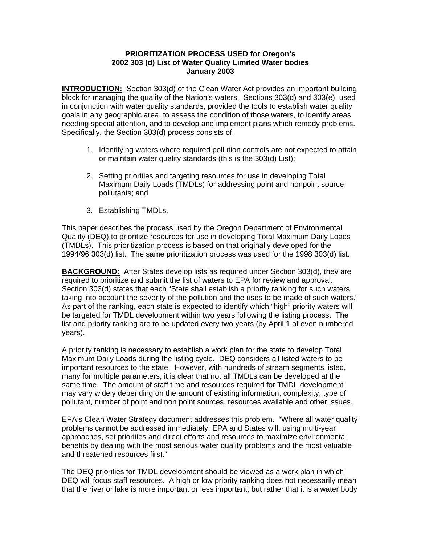## **PRIORITIZATION PROCESS USED for Oregon's 2002 303 (d) List of Water Quality Limited Water bodies January 2003**

**INTRODUCTION:** Section 303(d) of the Clean Water Act provides an important building block for managing the quality of the Nation's waters. Sections 303(d) and 303(e), used in conjunction with water quality standards, provided the tools to establish water quality goals in any geographic area, to assess the condition of those waters, to identify areas needing special attention, and to develop and implement plans which remedy problems. Specifically, the Section 303(d) process consists of:

- 1. Identifying waters where required pollution controls are not expected to attain or maintain water quality standards (this is the 303(d) List);
- 2. Setting priorities and targeting resources for use in developing Total Maximum Daily Loads (TMDLs) for addressing point and nonpoint source pollutants; and
- 3. Establishing TMDLs.

This paper describes the process used by the Oregon Department of Environmental Quality (DEQ) to prioritize resources for use in developing Total Maximum Daily Loads (TMDLs). This prioritization process is based on that originally developed for the 1994/96 303(d) list. The same prioritization process was used for the 1998 303(d) list.

**BACKGROUND:** After States develop lists as required under Section 303(d), they are required to prioritize and submit the list of waters to EPA for review and approval. Section 303(d) states that each "State shall establish a priority ranking for such waters, taking into account the severity of the pollution and the uses to be made of such waters." As part of the ranking, each state is expected to identify which "high" priority waters will be targeted for TMDL development within two years following the listing process. The list and priority ranking are to be updated every two years (by April 1 of even numbered years).

A priority ranking is necessary to establish a work plan for the state to develop Total Maximum Daily Loads during the listing cycle. DEQ considers all listed waters to be important resources to the state. However, with hundreds of stream segments listed, many for multiple parameters, it is clear that not all TMDLs can be developed at the same time. The amount of staff time and resources required for TMDL development may vary widely depending on the amount of existing information, complexity, type of pollutant, number of point and non point sources, resources available and other issues.

EPA's Clean Water Strategy document addresses this problem. "Where all water quality problems cannot be addressed immediately, EPA and States will, using multi-year approaches, set priorities and direct efforts and resources to maximize environmental benefits by dealing with the most serious water quality problems and the most valuable and threatened resources first."

The DEQ priorities for TMDL development should be viewed as a work plan in which DEQ will focus staff resources. A high or low priority ranking does not necessarily mean that the river or lake is more important or less important, but rather that it is a water body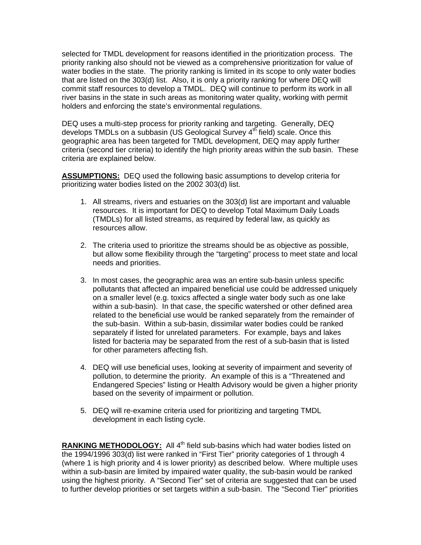selected for TMDL development for reasons identified in the prioritization process. The priority ranking also should not be viewed as a comprehensive prioritization for value of water bodies in the state. The priority ranking is limited in its scope to only water bodies that are listed on the 303(d) list. Also, it is only a priority ranking for where DEQ will commit staff resources to develop a TMDL. DEQ will continue to perform its work in all river basins in the state in such areas as monitoring water quality, working with permit holders and enforcing the state's environmental regulations.

DEQ uses a multi-step process for priority ranking and targeting. Generally, DEQ develops TMDLs on a subbasin (US Geological Survey  $4<sup>th</sup>$  field) scale. Once this geographic area has been targeted for TMDL development, DEQ may apply further criteria (second tier criteria) to identify the high priority areas within the sub basin. These criteria are explained below.

**ASSUMPTIONS:** DEQ used the following basic assumptions to develop criteria for prioritizing water bodies listed on the 2002 303(d) list.

- 1. All streams, rivers and estuaries on the 303(d) list are important and valuable resources. It is important for DEQ to develop Total Maximum Daily Loads (TMDLs) for all listed streams, as required by federal law, as quickly as resources allow.
- 2. The criteria used to prioritize the streams should be as objective as possible, but allow some flexibility through the "targeting" process to meet state and local needs and priorities.
- 3. In most cases, the geographic area was an entire sub-basin unless specific pollutants that affected an impaired beneficial use could be addressed uniquely on a smaller level (e.g. toxics affected a single water body such as one lake within a sub-basin). In that case, the specific watershed or other defined area related to the beneficial use would be ranked separately from the remainder of the sub-basin. Within a sub-basin, dissimilar water bodies could be ranked separately if listed for unrelated parameters. For example, bays and lakes listed for bacteria may be separated from the rest of a sub-basin that is listed for other parameters affecting fish.
- 4. DEQ will use beneficial uses, looking at severity of impairment and severity of pollution, to determine the priority. An example of this is a "Threatened and Endangered Species" listing or Health Advisory would be given a higher priority based on the severity of impairment or pollution.
- 5. DEQ will re-examine criteria used for prioritizing and targeting TMDL development in each listing cycle.

RANKING METHODOLOGY: All 4<sup>th</sup> field sub-basins which had water bodies listed on the 1994/1996 303(d) list were ranked in "First Tier" priority categories of 1 through 4 (where 1 is high priority and 4 is lower priority) as described below. Where multiple uses within a sub-basin are limited by impaired water quality, the sub-basin would be ranked using the highest priority. A "Second Tier" set of criteria are suggested that can be used to further develop priorities or set targets within a sub-basin. The "Second Tier" priorities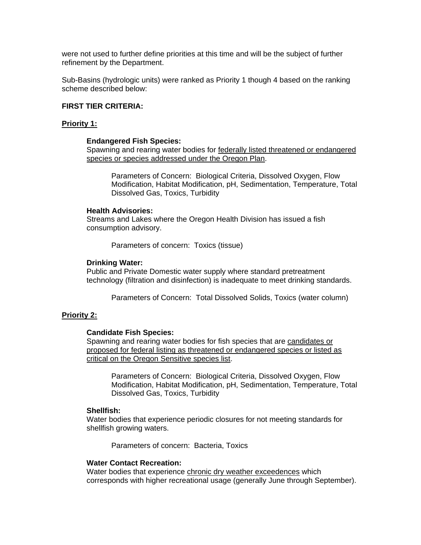were not used to further define priorities at this time and will be the subject of further refinement by the Department.

Sub-Basins (hydrologic units) were ranked as Priority 1 though 4 based on the ranking scheme described below:

## **FIRST TIER CRITERIA:**

## **Priority 1:**

#### **Endangered Fish Species:**

Spawning and rearing water bodies for federally listed threatened or endangered species or species addressed under the Oregon Plan.

Parameters of Concern: Biological Criteria, Dissolved Oxygen, Flow Modification, Habitat Modification, pH, Sedimentation, Temperature, Total Dissolved Gas, Toxics, Turbidity

### **Health Advisories:**

Streams and Lakes where the Oregon Health Division has issued a fish consumption advisory.

Parameters of concern: Toxics (tissue)

#### **Drinking Water:**

Public and Private Domestic water supply where standard pretreatment technology (filtration and disinfection) is inadequate to meet drinking standards.

Parameters of Concern: Total Dissolved Solids, Toxics (water column)

#### **Priority 2:**

#### **Candidate Fish Species:**

Spawning and rearing water bodies for fish species that are candidates or proposed for federal listing as threatened or endangered species or listed as critical on the Oregon Sensitive species list.

Parameters of Concern: Biological Criteria, Dissolved Oxygen, Flow Modification, Habitat Modification, pH, Sedimentation, Temperature, Total Dissolved Gas, Toxics, Turbidity

#### **Shellfish:**

Water bodies that experience periodic closures for not meeting standards for shellfish growing waters.

Parameters of concern: Bacteria, Toxics

## **Water Contact Recreation:**

Water bodies that experience chronic dry weather exceedences which corresponds with higher recreational usage (generally June through September).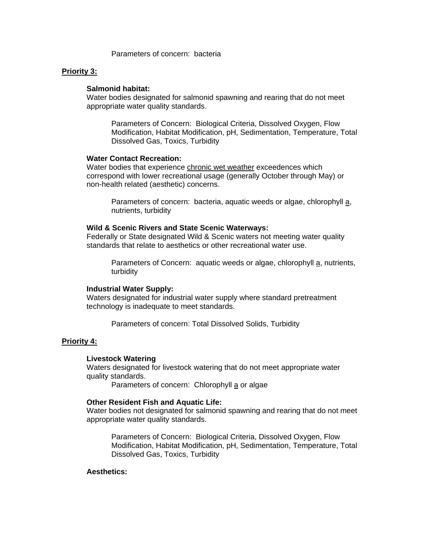Parameters of concern: bacteria

### **Priority 3:**

#### **Salmonid habitat:**

Water bodies designated for salmonid spawning and rearing that do not meet appropriate water quality standards.

Parameters of Concern: Biological Criteria, Dissolved Oxygen, Flow Modification, Habitat Modification, pH, Sedimentation, Temperature, Total Dissolved Gas, Toxics, Turbidity

## **Water Contact Recreation:**

Water bodies that experience chronic wet weather exceedences which correspond with lower recreational usage (generally October through May) or non-health related (aesthetic) concerns.

Parameters of concern: bacteria, aquatic weeds or algae, chlorophyll a, nutrients, turbidity

## **Wild & Scenic Rivers and State Scenic Waterways:**

Federally or State designated Wild & Scenic waters not meeting water quality standards that relate to aesthetics or other recreational water use.

Parameters of Concern: aquatic weeds or algae, chlorophyll a, nutrients, turbidity

#### **Industrial Water Supply:**

Waters designated for industrial water supply where standard pretreatment technology is inadequate to meet standards.

Parameters of concern: Total Dissolved Solids, Turbidity

#### **Priority 4:**

#### **Livestock Watering**

Waters designated for livestock watering that do not meet appropriate water quality standards.

Parameters of concern: Chlorophyll a or algae

### **Other Resident Fish and Aquatic Life:**

Water bodies not designated for salmonid spawning and rearing that do not meet appropriate water quality standards.

Parameters of Concern: Biological Criteria, Dissolved Oxygen, Flow Modification, Habitat Modification, pH, Sedimentation, Temperature, Total Dissolved Gas, Toxics, Turbidity

## **Aesthetics:**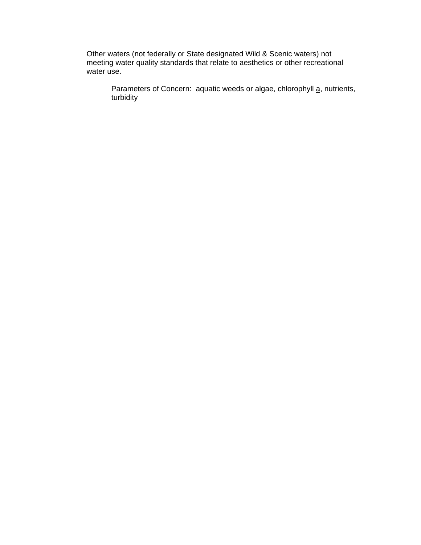Other waters (not federally or State designated Wild & Scenic waters) not meeting water quality standards that relate to aesthetics or other recreational water use.

Parameters of Concern: aquatic weeds or algae, chlorophyll a, nutrients, turbidity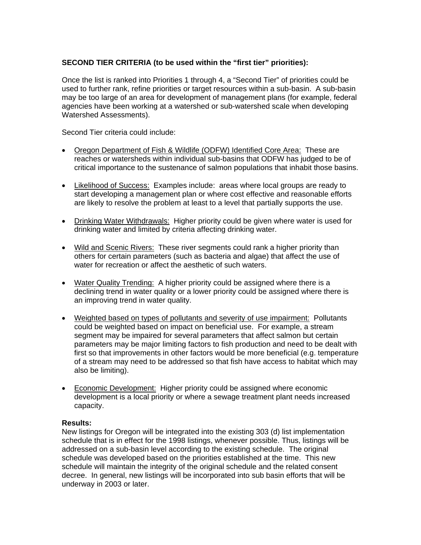# **SECOND TIER CRITERIA (to be used within the "first tier" priorities):**

Once the list is ranked into Priorities 1 through 4, a "Second Tier" of priorities could be used to further rank, refine priorities or target resources within a sub-basin. A sub-basin may be too large of an area for development of management plans (for example, federal agencies have been working at a watershed or sub-watershed scale when developing Watershed Assessments).

Second Tier criteria could include:

- Oregon Department of Fish & Wildlife (ODFW) Identified Core Area: These are reaches or watersheds within individual sub-basins that ODFW has judged to be of critical importance to the sustenance of salmon populations that inhabit those basins.
- Likelihood of Success: Examples include: areas where local groups are ready to start developing a management plan or where cost effective and reasonable efforts are likely to resolve the problem at least to a level that partially supports the use.
- Drinking Water Withdrawals: Higher priority could be given where water is used for drinking water and limited by criteria affecting drinking water.
- Wild and Scenic Rivers: These river segments could rank a higher priority than others for certain parameters (such as bacteria and algae) that affect the use of water for recreation or affect the aesthetic of such waters.
- Water Quality Trending: A higher priority could be assigned where there is a declining trend in water quality or a lower priority could be assigned where there is an improving trend in water quality.
- Weighted based on types of pollutants and severity of use impairment: Pollutants could be weighted based on impact on beneficial use. For example, a stream segment may be impaired for several parameters that affect salmon but certain parameters may be major limiting factors to fish production and need to be dealt with first so that improvements in other factors would be more beneficial (e.g. temperature of a stream may need to be addressed so that fish have access to habitat which may also be limiting).
- Economic Development: Higher priority could be assigned where economic development is a local priority or where a sewage treatment plant needs increased capacity.

## **Results:**

New listings for Oregon will be integrated into the existing 303 (d) list implementation schedule that is in effect for the 1998 listings, whenever possible. Thus, listings will be addressed on a sub-basin level according to the existing schedule. The original schedule was developed based on the priorities established at the time. This new schedule will maintain the integrity of the original schedule and the related consent decree. In general, new listings will be incorporated into sub basin efforts that will be underway in 2003 or later.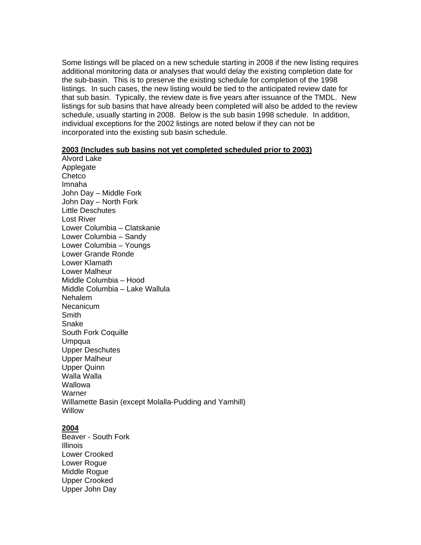Some listings will be placed on a new schedule starting in 2008 if the new listing requires additional monitoring data or analyses that would delay the existing completion date for the sub-basin. This is to preserve the existing schedule for completion of the 1998 listings. In such cases, the new listing would be tied to the anticipated review date for that sub basin. Typically, the review date is five years after issuance of the TMDL. New listings for sub basins that have already been completed will also be added to the review schedule, usually starting in 2008. Below is the sub basin 1998 schedule. In addition, individual exceptions for the 2002 listings are noted below if they can not be incorporated into the existing sub basin schedule.

### **2003 (Includes sub basins not yet completed scheduled prior to 2003)**

Alvord Lake Applegate **Chetco** Imnaha John Day – Middle Fork John Day – North Fork Little Deschutes Lost River Lower Columbia – Clatskanie Lower Columbia – Sandy Lower Columbia – Youngs Lower Grande Ronde Lower Klamath Lower Malheur Middle Columbia – Hood Middle Columbia – Lake Wallula Nehalem Necanicum **Smith** Snake South Fork Coquille Umpqua Upper Deschutes Upper Malheur Upper Quinn Walla Walla Wallowa Warner Willamette Basin (except Molalla-Pudding and Yamhill) **Willow** 

## **2004**

Beaver - South Fork Illinois Lower Crooked Lower Rogue Middle Rogue Upper Crooked Upper John Day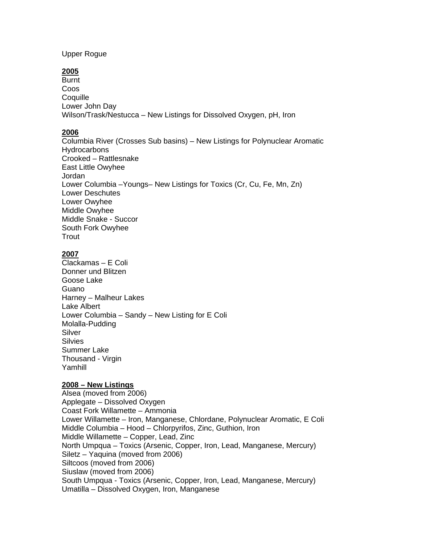Upper Rogue

# **2005**

**Burnt** Coos **Coquille** Lower John Day Wilson/Trask/Nestucca – New Listings for Dissolved Oxygen, pH, Iron

## **2006**

Columbia River (Crosses Sub basins) – New Listings for Polynuclear Aromatic **Hydrocarbons** Crooked – Rattlesnake East Little Owyhee Jordan Lower Columbia –Youngs– New Listings for Toxics (Cr, Cu, Fe, Mn, Zn) Lower Deschutes Lower Owyhee Middle Owyhee Middle Snake - Succor South Fork Owyhee **Trout** 

## **2007**

Clackamas – E Coli Donner und Blitzen Goose Lake Guano Harney – Malheur Lakes Lake Albert Lower Columbia – Sandy – New Listing for E Coli Molalla-Pudding Silver **Silvies** Summer Lake Thousand - Virgin Yamhill

## **2008 – New Listings**

Alsea (moved from 2006) Applegate – Dissolved Oxygen Coast Fork Willamette – Ammonia Lower Willamette – Iron, Manganese, Chlordane, Polynuclear Aromatic, E Coli Middle Columbia – Hood – Chlorpyrifos, Zinc, Guthion, Iron Middle Willamette – Copper, Lead, Zinc North Umpqua – Toxics (Arsenic, Copper, Iron, Lead, Manganese, Mercury) Siletz – Yaquina (moved from 2006) Siltcoos (moved from 2006) Siuslaw (moved from 2006) South Umpqua - Toxics (Arsenic, Copper, Iron, Lead, Manganese, Mercury) Umatilla – Dissolved Oxygen, Iron, Manganese